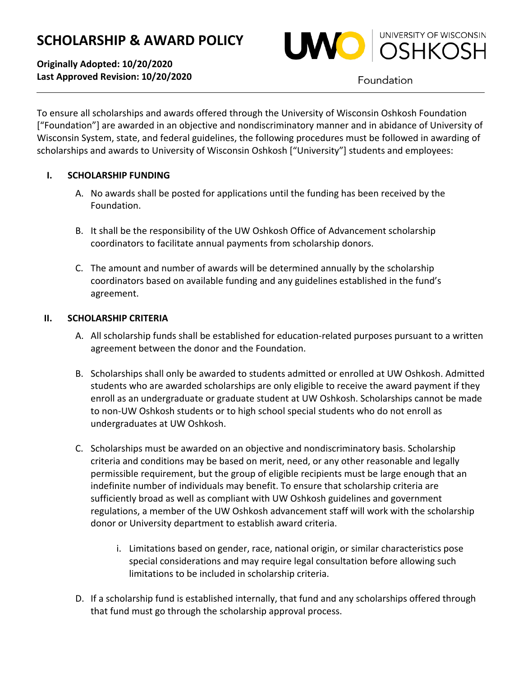# **SCHOLARSHIP & AWARD POLICY**

**Originally Adopted: 10/20/2020 Last Approved Revision: 10/20/2020**



Foundation

To ensure all scholarships and awards offered through the University of Wisconsin Oshkosh Foundation ["Foundation"] are awarded in an objective and nondiscriminatory manner and in abidance of University of Wisconsin System, state, and federal guidelines, the following procedures must be followed in awarding of scholarships and awards to University of Wisconsin Oshkosh ["University"] students and employees:

# **I. SCHOLARSHIP FUNDING**

- A. No awards shall be posted for applications until the funding has been received by the Foundation.
- B. It shall be the responsibility of the UW Oshkosh Office of Advancement scholarship coordinators to facilitate annual payments from scholarship donors.
- C. The amount and number of awards will be determined annually by the scholarship coordinators based on available funding and any guidelines established in the fund's agreement.

# **II. SCHOLARSHIP CRITERIA**

- A. All scholarship funds shall be established for education-related purposes pursuant to a written agreement between the donor and the Foundation.
- B. Scholarships shall only be awarded to students admitted or enrolled at UW Oshkosh. Admitted students who are awarded scholarships are only eligible to receive the award payment if they enroll as an undergraduate or graduate student at UW Oshkosh. Scholarships cannot be made to non-UW Oshkosh students or to high school special students who do not enroll as undergraduates at UW Oshkosh.
- C. Scholarships must be awarded on an objective and nondiscriminatory basis. Scholarship criteria and conditions may be based on merit, need, or any other reasonable and legally permissible requirement, but the group of eligible recipients must be large enough that an indefinite number of individuals may benefit. To ensure that scholarship criteria are sufficiently broad as well as compliant with UW Oshkosh guidelines and government regulations, a member of the UW Oshkosh advancement staff will work with the scholarship donor or University department to establish award criteria.
	- i. Limitations based on gender, race, national origin, or similar characteristics pose special considerations and may require legal consultation before allowing such limitations to be included in scholarship criteria.
- D. If a scholarship fund is established internally, that fund and any scholarships offered through that fund must go through the scholarship approval process.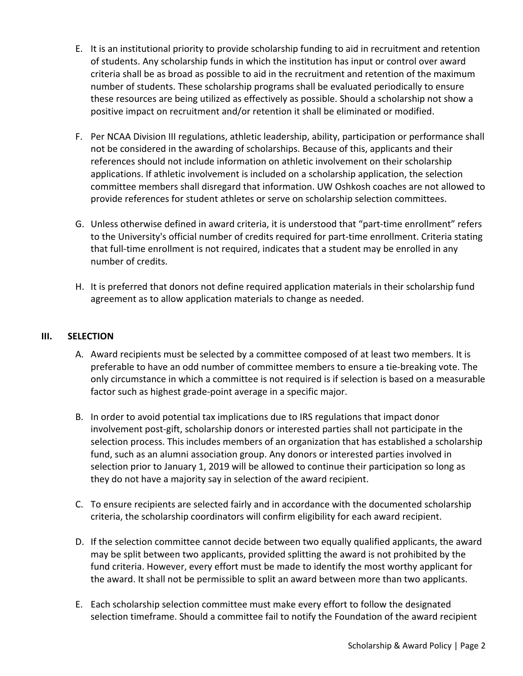- E. It is an institutional priority to provide scholarship funding to aid in recruitment and retention of students. Any scholarship funds in which the institution has input or control over award criteria shall be as broad as possible to aid in the recruitment and retention of the maximum number of students. These scholarship programs shall be evaluated periodically to ensure these resources are being utilized as effectively as possible. Should a scholarship not show a positive impact on recruitment and/or retention it shall be eliminated or modified.
- F. Per NCAA Division III regulations, athletic leadership, ability, participation or performance shall not be considered in the awarding of scholarships. Because of this, applicants and their references should not include information on athletic involvement on their scholarship applications. If athletic involvement is included on a scholarship application, the selection committee members shall disregard that information. UW Oshkosh coaches are not allowed to provide references for student athletes or serve on scholarship selection committees.
- G. Unless otherwise defined in award criteria, it is understood that "part-time enrollment" refers to the University's official number of credits required for part-time enrollment. Criteria stating that full-time enrollment is not required, indicates that a student may be enrolled in any number of credits.
- H. It is preferred that donors not define required application materials in their scholarship fund agreement as to allow application materials to change as needed.

# **III. SELECTION**

- A. Award recipients must be selected by a committee composed of at least two members. It is preferable to have an odd number of committee members to ensure a tie-breaking vote. The only circumstance in which a committee is not required is if selection is based on a measurable factor such as highest grade-point average in a specific major.
- B. In order to avoid potential tax implications due to IRS regulations that impact donor involvement post-gift, scholarship donors or interested parties shall not participate in the selection process. This includes members of an organization that has established a scholarship fund, such as an alumni association group. Any donors or interested parties involved in selection prior to January 1, 2019 will be allowed to continue their participation so long as they do not have a majority say in selection of the award recipient.
- C. To ensure recipients are selected fairly and in accordance with the documented scholarship criteria, the scholarship coordinators will confirm eligibility for each award recipient.
- D. If the selection committee cannot decide between two equally qualified applicants, the award may be split between two applicants, provided splitting the award is not prohibited by the fund criteria. However, every effort must be made to identify the most worthy applicant for the award. It shall not be permissible to split an award between more than two applicants.
- E. Each scholarship selection committee must make every effort to follow the designated selection timeframe. Should a committee fail to notify the Foundation of the award recipient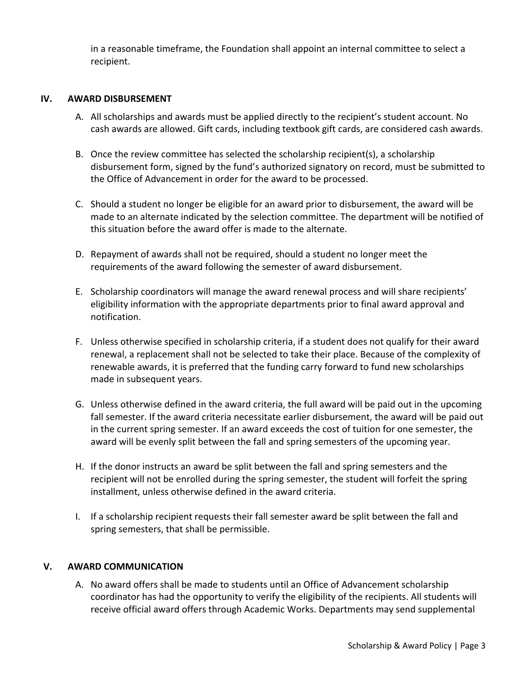in a reasonable timeframe, the Foundation shall appoint an internal committee to select a recipient.

## **IV. AWARD DISBURSEMENT**

- A. All scholarships and awards must be applied directly to the recipient's student account. No cash awards are allowed. Gift cards, including textbook gift cards, are considered cash awards.
- B. Once the review committee has selected the scholarship recipient(s), a scholarship disbursement form, signed by the fund's authorized signatory on record, must be submitted to the Office of Advancement in order for the award to be processed.
- C. Should a student no longer be eligible for an award prior to disbursement, the award will be made to an alternate indicated by the selection committee. The department will be notified of this situation before the award offer is made to the alternate.
- D. Repayment of awards shall not be required, should a student no longer meet the requirements of the award following the semester of award disbursement.
- E. Scholarship coordinators will manage the award renewal process and will share recipients' eligibility information with the appropriate departments prior to final award approval and notification.
- F. Unless otherwise specified in scholarship criteria, if a student does not qualify for their award renewal, a replacement shall not be selected to take their place. Because of the complexity of renewable awards, it is preferred that the funding carry forward to fund new scholarships made in subsequent years.
- G. Unless otherwise defined in the award criteria, the full award will be paid out in the upcoming fall semester. If the award criteria necessitate earlier disbursement, the award will be paid out in the current spring semester. If an award exceeds the cost of tuition for one semester, the award will be evenly split between the fall and spring semesters of the upcoming year.
- H. If the donor instructs an award be split between the fall and spring semesters and the recipient will not be enrolled during the spring semester, the student will forfeit the spring installment, unless otherwise defined in the award criteria.
- I. If a scholarship recipient requests their fall semester award be split between the fall and spring semesters, that shall be permissible.

#### **V. AWARD COMMUNICATION**

A. No award offers shall be made to students until an Office of Advancement scholarship coordinator has had the opportunity to verify the eligibility of the recipients. All students will receive official award offers through Academic Works. Departments may send supplemental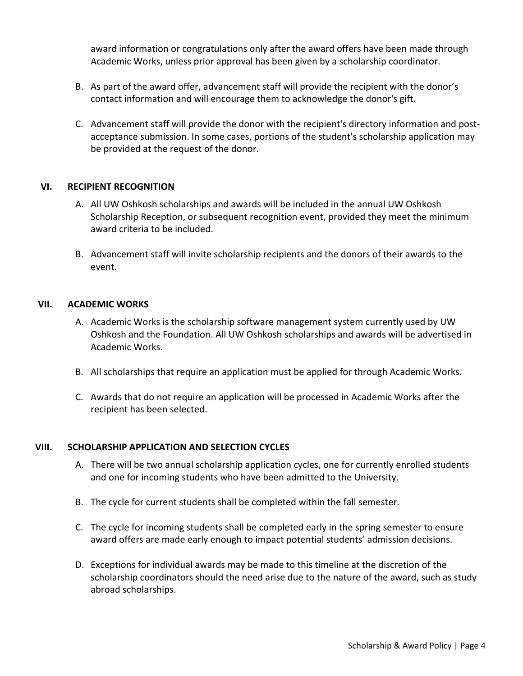award information or congratulations only after the award offers have been made through Academic Works, unless prior approval has been given by a scholarship coordinator.

- B. As part of the award offer, advancement staff will provide the recipient with the donor's contact information and will encourage them to acknowledge the donor's gift.
- C. Advancement staff will provide the donor with the recipient's directory information and postacceptance submission. In some cases, portions of the student's scholarship application may be provided at the request of the donor.

## **VI. RECIPIENT RECOGNITION**

- A. All UW Oshkosh scholarships and awards will be included in the annual UW Oshkosh Scholarship Reception, or subsequent recognition event, provided they meet the minimum award criteria to be included.
- B. Advancement staff will invite scholarship recipients and the donors of their awards to the event.

#### **VII. ACADEMIC WORKS**

- A. Academic Works is the scholarship software management system currently used by UW Oshkosh and the Foundation. All UW Oshkosh scholarships and awards will be advertised in Academic Works.
- B. All scholarships that require an application must be applied for through Academic Works.
- C. Awards that do not require an application will be processed in Academic Works after the recipient has been selected.

#### **VIII. SCHOLARSHIP APPLICATION AND SELECTION CYCLES**

- A. There will be two annual scholarship application cycles, one for currently enrolled students and one for incoming students who have been admitted to the University.
- B. The cycle for current students shall be completed within the fall semester.
- C. The cycle for incoming students shall be completed early in the spring semester to ensure award offers are made early enough to impact potential students' admission decisions.
- D. Exceptions for individual awards may be made to this timeline at the discretion of the scholarship coordinators should the need arise due to the nature of the award, such as study abroad scholarships.